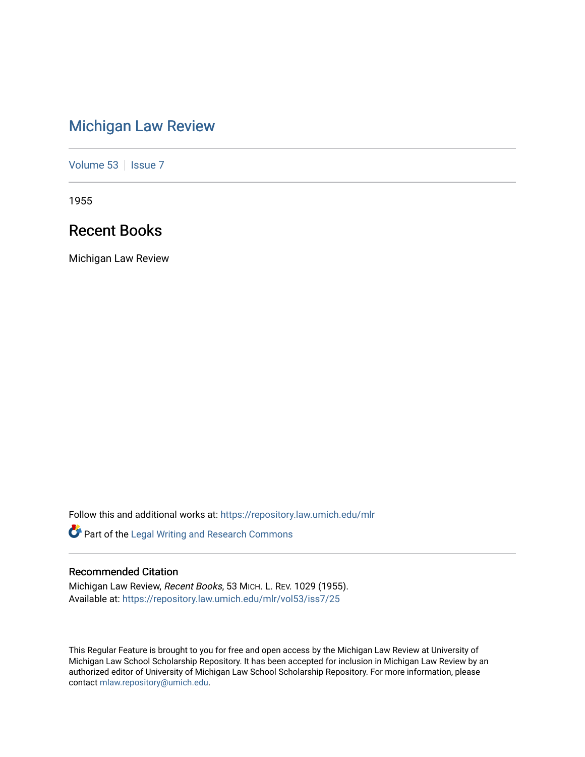# [Michigan Law Review](https://repository.law.umich.edu/mlr)

[Volume 53](https://repository.law.umich.edu/mlr/vol53) | [Issue 7](https://repository.law.umich.edu/mlr/vol53/iss7)

1955

# Recent Books

Michigan Law Review

Follow this and additional works at: [https://repository.law.umich.edu/mlr](https://repository.law.umich.edu/mlr?utm_source=repository.law.umich.edu%2Fmlr%2Fvol53%2Fiss7%2F25&utm_medium=PDF&utm_campaign=PDFCoverPages) 

Part of the [Legal Writing and Research Commons](http://network.bepress.com/hgg/discipline/614?utm_source=repository.law.umich.edu%2Fmlr%2Fvol53%2Fiss7%2F25&utm_medium=PDF&utm_campaign=PDFCoverPages) 

# Recommended Citation

Michigan Law Review, Recent Books, 53 MICH. L. REV. 1029 (1955). Available at: [https://repository.law.umich.edu/mlr/vol53/iss7/25](https://repository.law.umich.edu/mlr/vol53/iss7/25?utm_source=repository.law.umich.edu%2Fmlr%2Fvol53%2Fiss7%2F25&utm_medium=PDF&utm_campaign=PDFCoverPages) 

This Regular Feature is brought to you for free and open access by the Michigan Law Review at University of Michigan Law School Scholarship Repository. It has been accepted for inclusion in Michigan Law Review by an authorized editor of University of Michigan Law School Scholarship Repository. For more information, please contact [mlaw.repository@umich.edu](mailto:mlaw.repository@umich.edu).